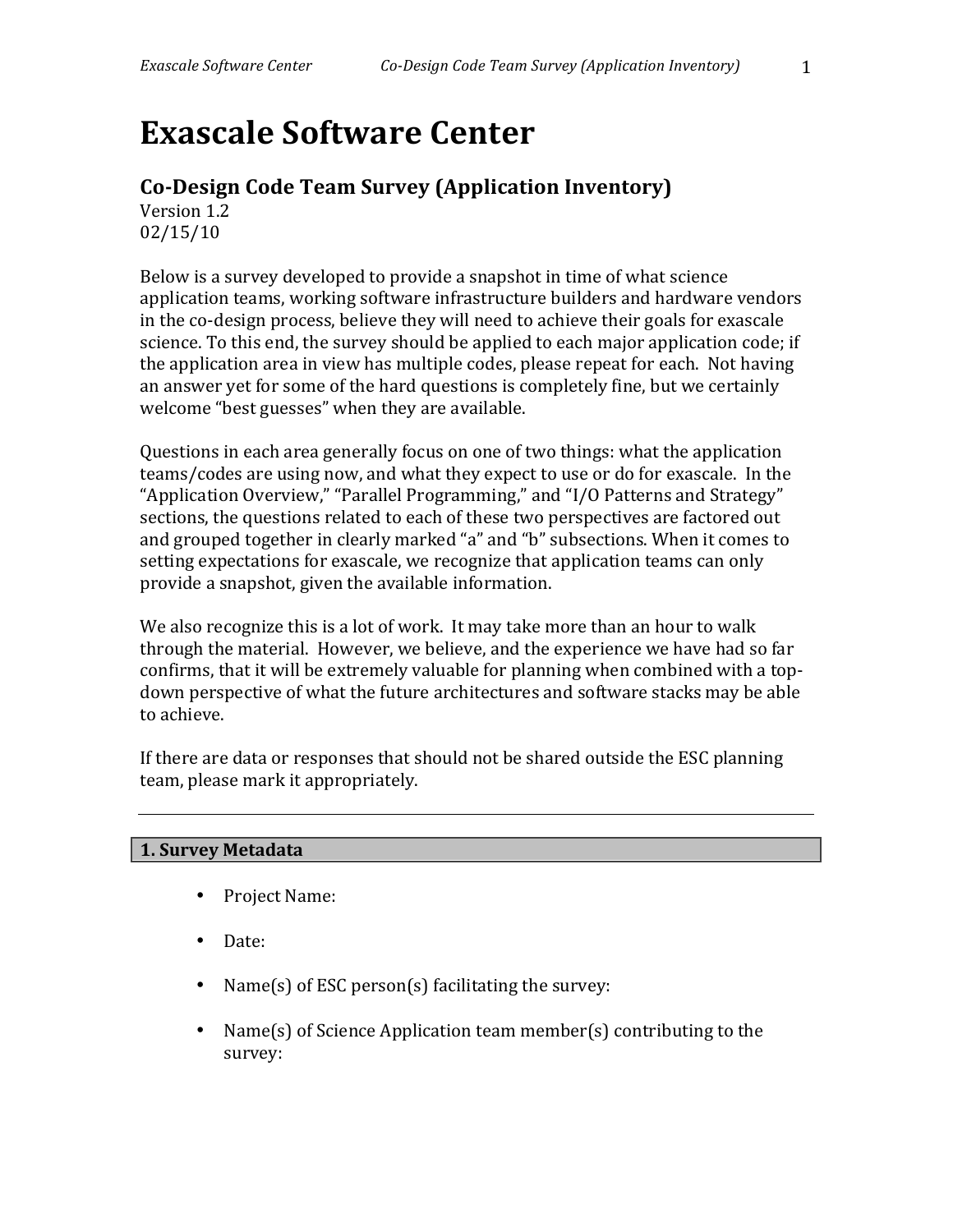# **Exascale Software Center**

# **Co-Design Code Team Survey (Application Inventory)**

Version 1.2 02/15/10

Below is a survey developed to provide a snapshot in time of what science application teams, working software infrastructure builders and hardware vendors in the co-design process, believe they will need to achieve their goals for exascale science. To this end, the survey should be applied to each major application code; if the application area in view has multiple codes, please repeat for each. Not having an answer yet for some of the hard questions is completely fine, but we certainly welcome "best guesses" when they are available.

Questions in each area generally focus on one of two things: what the application teams/codes are using now, and what they expect to use or do for exascale. In the "Application Overview," "Parallel Programming," and "I/O Patterns and Strategy" sections, the questions related to each of these two perspectives are factored out and grouped together in clearly marked "a" and "b" subsections. When it comes to setting expectations for exascale, we recognize that application teams can only provide a snapshot, given the available information.

We also recognize this is a lot of work. It may take more than an hour to walk through the material. However, we believe, and the experience we have had so far confirms, that it will be extremely valuable for planning when combined with a topdown perspective of what the future architectures and software stacks may be able to achieve.

If there are data or responses that should not be shared outside the ESC planning team, please mark it appropriately.

# **1. Survey Metadata**

- Project Name:
- Date:
- Name(s) of ESC person(s) facilitating the survey:
- Name(s) of Science Application team member(s) contributing to the survey: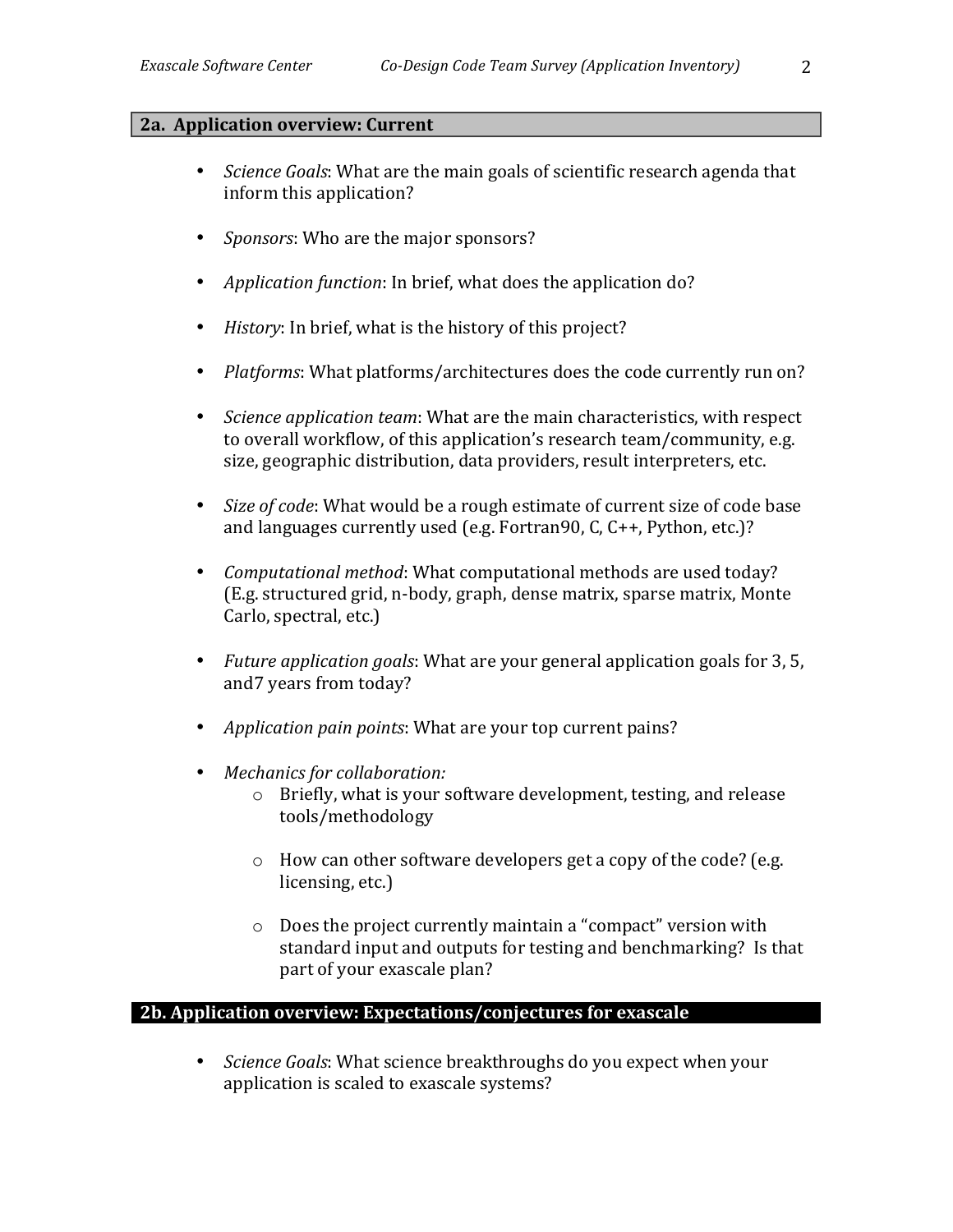## **2a.** Application overview: Current

- *Science Goals*: What are the main goals of scientific research agenda that inform this application?
- *Sponsors*: Who are the major sponsors?
- *Application function*: In brief, what does the application do?
- *History*: In brief, what is the history of this project?
- *Platforms*: What platforms/architectures does the code currently run on?
- *Science application team*: What are the main characteristics, with respect to overall workflow, of this application's research team/community, e.g. size, geographic distribution, data providers, result interpreters, etc.
- *Size of code*: What would be a rough estimate of current size of code base and languages currently used (e.g. Fortran90, C,  $C_{++}$ , Python, etc.)?
- *Computational method*: What computational methods are used today? (E.g. structured grid, n-body, graph, dense matrix, sparse matrix, Monte Carlo, spectral, etc.)
- *Future application goals*: What are your general application goals for 3, 5, and7 years from today?
- *Application pain points:* What are your top current pains?
- Mechanics for collaboration:
	- $\circ$  Briefly, what is your software development, testing, and release tools/methodology
	- $\circ$  How can other software developers get a copy of the code? (e.g. licensing, etc.)
	- $\circ$  Does the project currently maintain a "compact" version with standard input and outputs for testing and benchmarking? Is that part of your exascale plan?

# **2b. Application overview: Expectations/conjectures for exascale**

• *Science Goals*: What science breakthroughs do you expect when your application is scaled to exascale systems?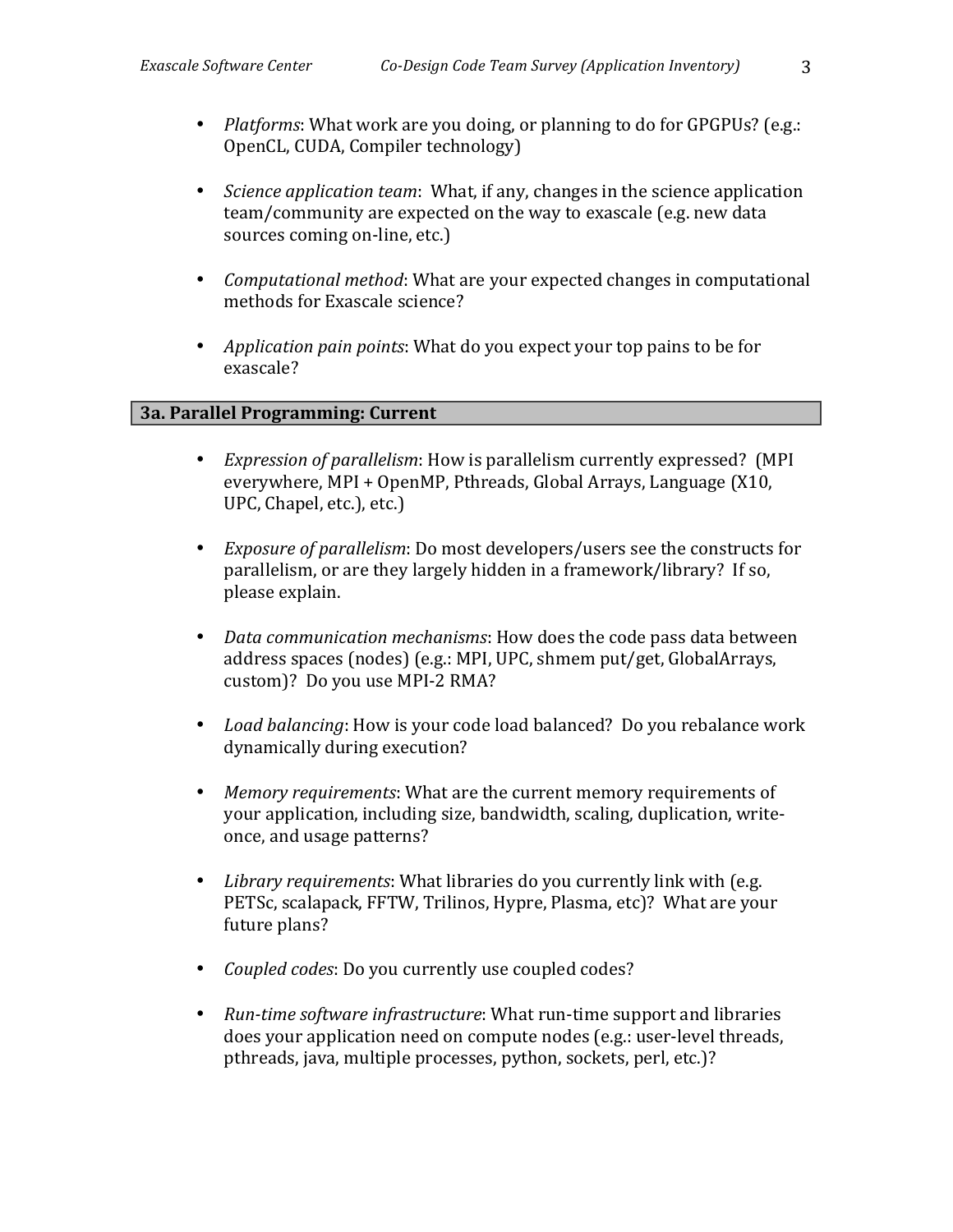- *Platforms*: What work are you doing, or planning to do for GPGPUs? (e.g.: OpenCL, CUDA, Compiler technology)
- *Science application team*: What, if any, changes in the science application team/community are expected on the way to exascale (e.g. new data sources coming on-line, etc.)
- *Computational method*: What are your expected changes in computational methods for Exascale science?
- *Application pain points*: What do you expect your top pains to be for exascale?

# **3a. Parallel Programming: Current**

- *Expression of parallelism*: How is parallelism currently expressed? (MPI) everywhere, MPI + OpenMP, Pthreads, Global Arrays, Language (X10, UPC, Chapel, etc.), etc.)
- *Exposure of parallelism*: Do most developers/users see the constructs for parallelism, or are they largely hidden in a framework/library? If so, please explain.
- *Data communication mechanisms*: How does the code pass data between address spaces (nodes) (e.g.: MPI, UPC, shmem put/get, GlobalArrays, custom)? Do you use MPI-2 RMA?
- *Load balancing*: How is your code load balanced? Do you rebalance work dynamically during execution?
- *Memory requirements*: What are the current memory requirements of your application, including size, bandwidth, scaling, duplication, writeonce, and usage patterns?
- Library requirements: What libraries do you currently link with (e.g. PETSc, scalapack, FFTW, Trilinos, Hypre, Plasma, etc)? What are your future plans?
- *Coupled codes: Do you currently use coupled codes?*
- Run-time software infrastructure: What run-time support and libraries does your application need on compute nodes (e.g.: user-level threads, pthreads, java, multiple processes, python, sockets, perl, etc.)?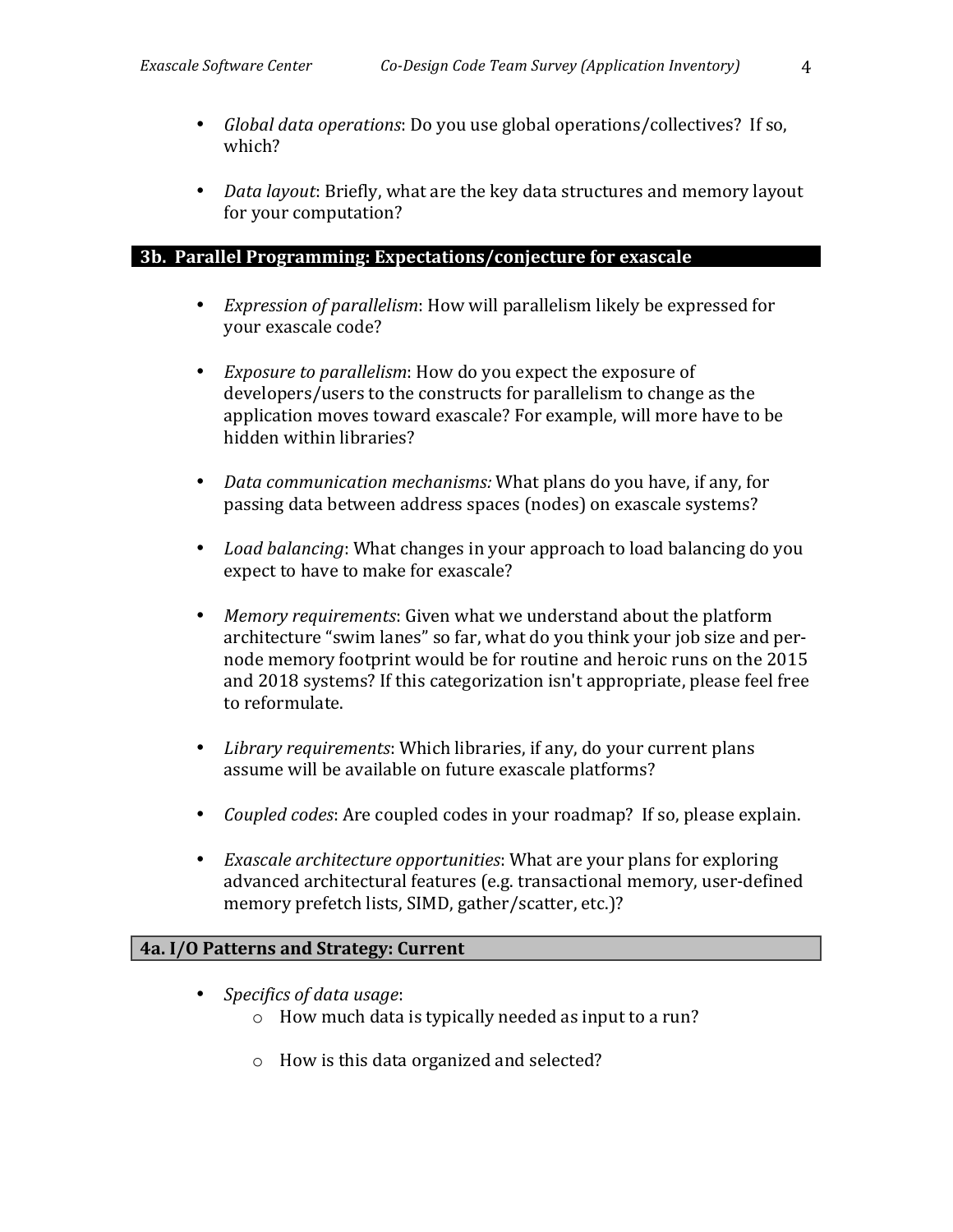- *Global data operations*: Do you use global operations/collectives? If so, which?
- *Data layout: Briefly, what are the key data structures and memory layout* for your computation?

#### 3b. Parallel Programming: Expectations/conjecture for exascale

- *Expression of parallelism*: How will parallelism likely be expressed for your exascale code?
- *Exposure to parallelism*: How do you expect the exposure of developers/users to the constructs for parallelism to change as the application moves toward exascale? For example, will more have to be hidden within libraries?
- *Data communication mechanisms:* What plans do you have, if any, for passing data between address spaces (nodes) on exascale systems?
- *Load balancing*: What changes in your approach to load balancing do you expect to have to make for exascale?
- *Memory requirements*: Given what we understand about the platform architecture "swim lanes" so far, what do you think your job size and pernode memory footprint would be for routine and heroic runs on the 2015 and 2018 systems? If this categorization isn't appropriate, please feel free to reformulate.
- *Library requirements*: Which libraries, if any, do your current plans assume will be available on future exascale platforms?
- *Coupled codes:* Are coupled codes in your roadmap? If so, please explain.
- *Exascale architecture opportunities*: What are your plans for exploring advanced architectural features (e.g. transactional memory, user-defined memory prefetch lists, SIMD, gather/scatter, etc.)?

# **4a.** I/O Patterns and Strategy: Current

- *Specifics of data usage:* 
	- $\circ$  How much data is typically needed as input to a run?
	- $\circ$  How is this data organized and selected?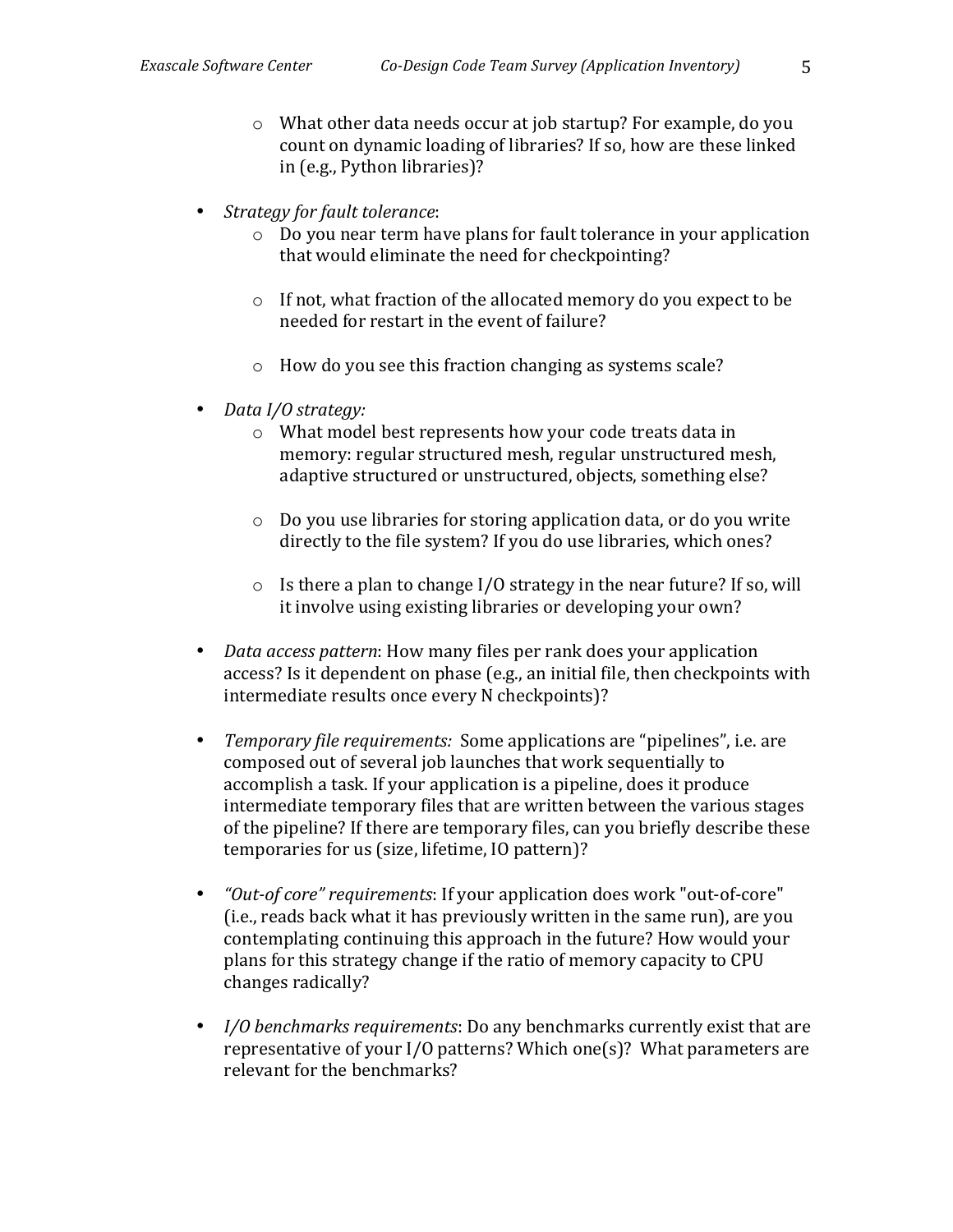- $\circ$  What other data needs occur at job startup? For example, do you count on dynamic loading of libraries? If so, how are these linked in (e.g., Python libraries)?
- *Strategy for fault tolerance:* 
	- $\circ$  Do you near term have plans for fault tolerance in your application that would eliminate the need for checkpointing?
	- $\circ$  If not, what fraction of the allocated memory do you expect to be needed for restart in the event of failure?
	- $\circ$  How do you see this fraction changing as systems scale?
- *Data I/O strategy:* 
	- $\circ$  What model best represents how your code treats data in memory: regular structured mesh, regular unstructured mesh, adaptive structured or unstructured, objects, something else?
	- $\circ$  Do you use libraries for storing application data, or do you write directly to the file system? If you do use libraries, which ones?
	- $\circ$  Is there a plan to change I/O strategy in the near future? If so, will it involve using existing libraries or developing your own?
- *Data access pattern*: How many files per rank does your application access? Is it dependent on phase (e.g., an initial file, then checkpoints with intermediate results once every N checkpoints)?
- *Temporary file requirements:* Some applications are "pipelines", i.e. are composed out of several job launches that work sequentially to accomplish a task. If your application is a pipeline, does it produce intermediate temporary files that are written between the various stages of the pipeline? If there are temporary files, can you briefly describe these temporaries for us (size, lifetime, IO pattern)?
- *"Out-of core" requirements*: If your application does work "out-of-core" (i.e., reads back what it has previously written in the same run), are you contemplating continuing this approach in the future? How would your plans for this strategy change if the ratio of memory capacity to CPU changes radically?
- *I/O benchmarks requirements*: Do any benchmarks currently exist that are representative of your I/O patterns? Which one(s)? What parameters are relevant for the benchmarks?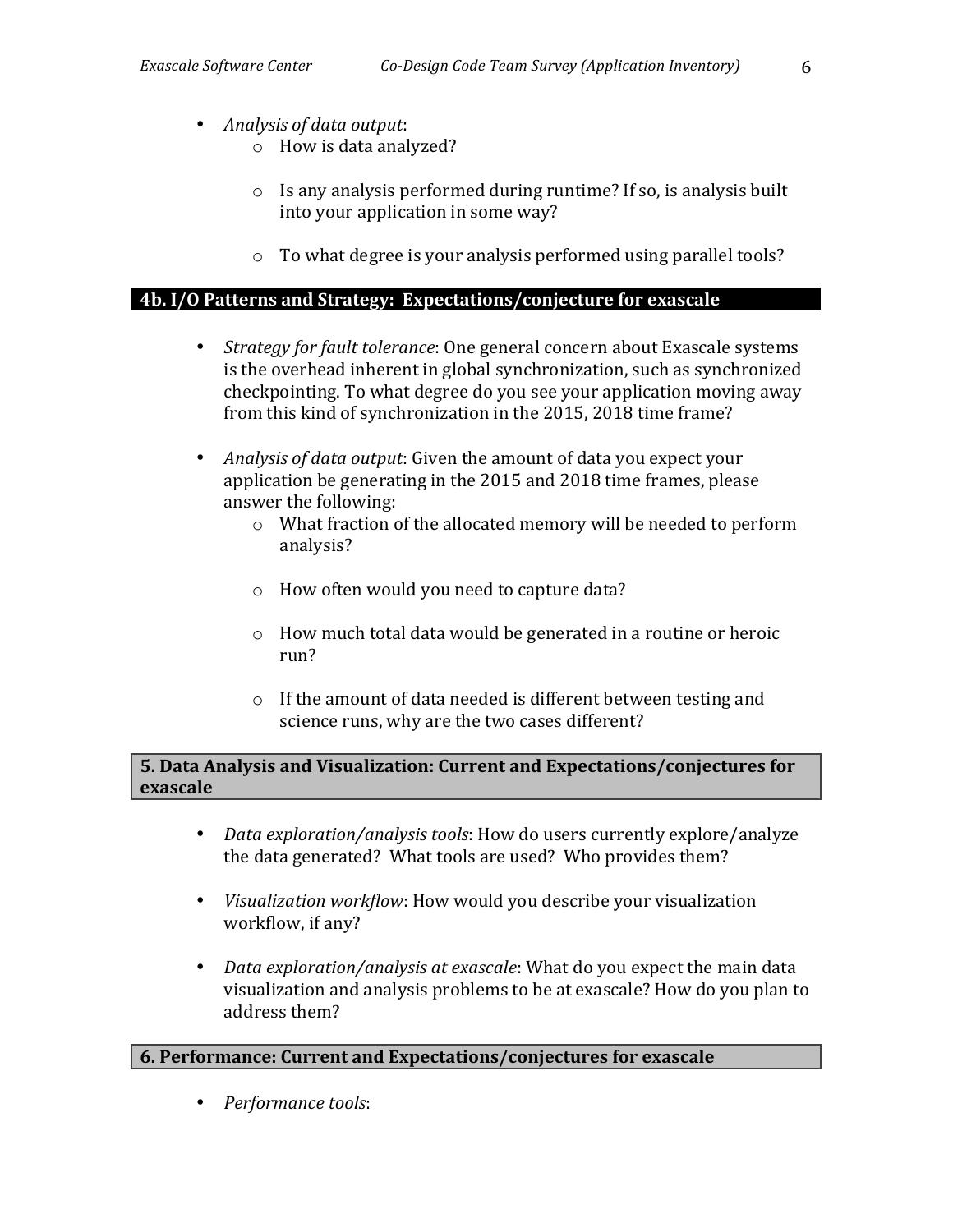- Analysis of data output:
	- $\circ$  How is data analyzed?
	- $\circ$  Is any analysis performed during runtime? If so, is analysis built into your application in some way?
	- $\circ$  To what degree is your analysis performed using parallel tools?

# 4b. I/O Patterns and Strategy: Expectations/conjecture for exascale

- *Strategy for fault tolerance*: One general concern about Exascale systems is the overhead inherent in global synchronization, such as synchronized checkpointing. To what degree do you see your application moving away from this kind of synchronization in the 2015, 2018 time frame?
- *Analysis of data output*: Given the amount of data you expect your application be generating in the 2015 and 2018 time frames, please answer the following:
	- $\circ$  What fraction of the allocated memory will be needed to perform analysis?
	- o How often would you need to capture data?
	- $\circ$  How much total data would be generated in a routine or heroic run?"
	- $\circ$  If the amount of data needed is different between testing and science runs, why are the two cases different?

# **5. Data Analysis and Visualization: Current and Expectations/conjectures for exascale**

- *Data exploration/analysis tools*: How do users currently explore/analyze the data generated? What tools are used? Who provides them?
- *Visualization workflow*: How would you describe your visualization workflow, if any?
- *Data exploration/analysis at exascale*: What do you expect the main data visualization and analysis problems to be at exascale? How do you plan to address them?

# **6.** Performance: Current and Expectations/conjectures for exascale

• Performance tools: